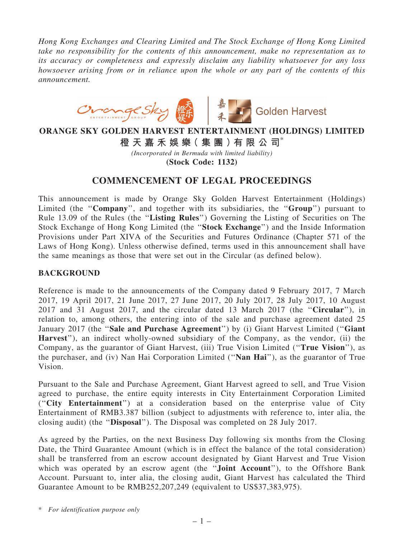*Hong Kong Exchanges and Clearing Limited and The Stock Exchange of Hong Kong Limited take no responsibility for the contents of this announcement, make no representation as to its accuracy or completeness and expressly disclaim any liability whatsoever for any loss howsoever arising from or in reliance upon the whole or any part of the contents of this announcement.*



## ORANGE SKY GOLDEN HARVEST ENTERTAINMENT (HOLDINGS) LIMITED

橙 天 嘉 禾 娛 樂( 集 團 )有 限 公 司\*

*(Incorporated in Bermuda with limited liability)* (Stock Code: 1132)

## COMMENCEMENT OF LEGAL PROCEEDINGS

This announcement is made by Orange Sky Golden Harvest Entertainment (Holdings) Limited (the "Company", and together with its subsidiaries, the "Group") pursuant to Rule 13.09 of the Rules (the ''Listing Rules'') Governing the Listing of Securities on The Stock Exchange of Hong Kong Limited (the ''Stock Exchange'') and the Inside Information Provisions under Part XIVA of the Securities and Futures Ordinance (Chapter 571 of the Laws of Hong Kong). Unless otherwise defined, terms used in this announcement shall have the same meanings as those that were set out in the Circular (as defined below).

## **BACKGROUND**

Reference is made to the announcements of the Company dated 9 February 2017, 7 March 2017, 19 April 2017, 21 June 2017, 27 June 2017, 20 July 2017, 28 July 2017, 10 August 2017 and 31 August 2017, and the circular dated 13 March 2017 (the ''Circular''), in relation to, among others, the entering into of the sale and purchase agreement dated 25 January 2017 (the "Sale and Purchase Agreement") by (i) Giant Harvest Limited ("Giant Harvest''), an indirect wholly-owned subsidiary of the Company, as the vendor, (ii) the Company, as the guarantor of Giant Harvest, (iii) True Vision Limited (''True Vision''), as the purchaser, and (iv) Nan Hai Corporation Limited (''Nan Hai''), as the guarantor of True Vision.

Pursuant to the Sale and Purchase Agreement, Giant Harvest agreed to sell, and True Vision agreed to purchase, the entire equity interests in City Entertainment Corporation Limited (''City Entertainment'') at a consideration based on the enterprise value of City Entertainment of RMB3.387 billion (subject to adjustments with reference to, inter alia, the closing audit) (the ''Disposal''). The Disposal was completed on 28 July 2017.

As agreed by the Parties, on the next Business Day following six months from the Closing Date, the Third Guarantee Amount (which is in effect the balance of the total consideration) shall be transferred from an escrow account designated by Giant Harvest and True Vision which was operated by an escrow agent (the "**Joint Account**"), to the Offshore Bank Account. Pursuant to, inter alia, the closing audit, Giant Harvest has calculated the Third Guarantee Amount to be RMB252,207,249 (equivalent to US\$37,383,975).

\* *For identification purpose only*